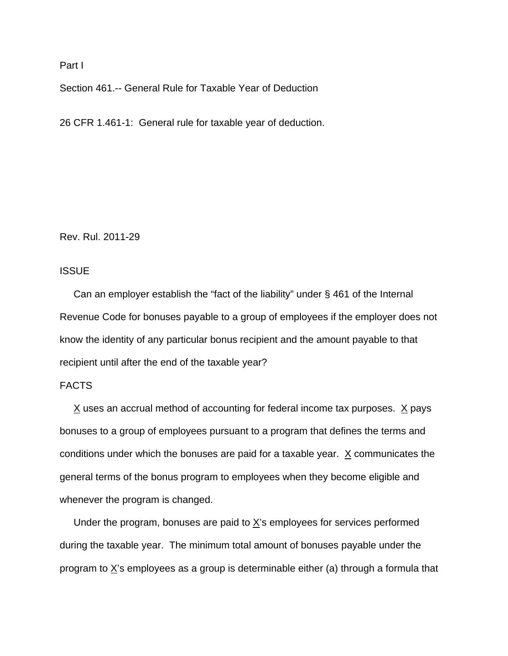### Part I

Section 461.-- General Rule for Taxable Year of Deduction

26 CFR 1.461-1: General rule for taxable year of deduction.

Rev. Rul. 2011-29

## **ISSUE**

 Can an employer establish the "fact of the liability" under § 461 of the Internal Revenue Code for bonuses payable to a group of employees if the employer does not know the identity of any particular bonus recipient and the amount payable to that recipient until after the end of the taxable year?

# FACTS

 $X$  uses an accrual method of accounting for federal income tax purposes.  $X$  pays bonuses to a group of employees pursuant to a program that defines the terms and conditions under which the bonuses are paid for a taxable year.  $X$  communicates the general terms of the bonus program to employees when they become eligible and whenever the program is changed.

Under the program, bonuses are paid to  $\underline{X}$ 's employees for services performed during the taxable year. The minimum total amount of bonuses payable under the program to  $X$ 's employees as a group is determinable either (a) through a formula that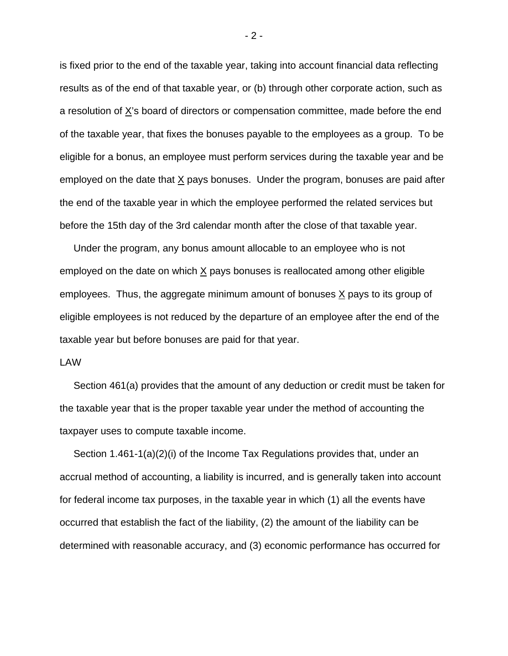is fixed prior to the end of the taxable year, taking into account financial data reflecting results as of the end of that taxable year, or (b) through other corporate action, such as a resolution of X's board of directors or compensation committee, made before the end of the taxable year, that fixes the bonuses payable to the employees as a group. To be eligible for a bonus, an employee must perform services during the taxable year and be employed on the date that  $X$  pays bonuses. Under the program, bonuses are paid after the end of the taxable year in which the employee performed the related services but before the 15th day of the 3rd calendar month after the close of that taxable year.

 Under the program, any bonus amount allocable to an employee who is not employed on the date on which X pays bonuses is reallocated among other eligible employees. Thus, the aggregate minimum amount of bonuses X pays to its group of eligible employees is not reduced by the departure of an employee after the end of the taxable year but before bonuses are paid for that year.

# LAW

 Section 461(a) provides that the amount of any deduction or credit must be taken for the taxable year that is the proper taxable year under the method of accounting the taxpayer uses to compute taxable income.

 Section 1.461-1(a)(2)(i) of the Income Tax Regulations provides that, under an accrual method of accounting, a liability is incurred, and is generally taken into account for federal income tax purposes, in the taxable year in which (1) all the events have occurred that establish the fact of the liability, (2) the amount of the liability can be determined with reasonable accuracy, and (3) economic performance has occurred for

 $-2 -$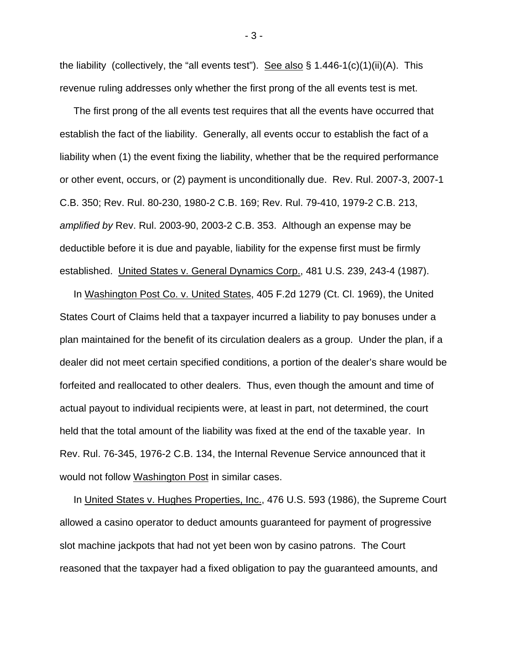the liability (collectively, the "all events test"). See also  $\S$  1.446-1(c)(1)(ii)(A). This revenue ruling addresses only whether the first prong of the all events test is met.

 The first prong of the all events test requires that all the events have occurred that establish the fact of the liability. Generally, all events occur to establish the fact of a liability when (1) the event fixing the liability, whether that be the required performance or other event, occurs, or (2) payment is unconditionally due. Rev. Rul. 2007-3, 2007-1 C.B. 350; Rev. Rul. 80-230, 1980-2 C.B. 169; Rev. Rul. 79-410, 1979-2 C.B. 213, *amplified by* Rev. Rul. 2003-90, 2003-2 C.B. 353. Although an expense may be deductible before it is due and payable, liability for the expense first must be firmly established. United States v. General Dynamics Corp., 481 U.S. 239, 243-4 (1987).

 In Washington Post Co. v. United States, 405 F.2d 1279 (Ct. Cl. 1969), the United States Court of Claims held that a taxpayer incurred a liability to pay bonuses under a plan maintained for the benefit of its circulation dealers as a group. Under the plan, if a dealer did not meet certain specified conditions, a portion of the dealer's share would be forfeited and reallocated to other dealers. Thus, even though the amount and time of actual payout to individual recipients were, at least in part, not determined, the court held that the total amount of the liability was fixed at the end of the taxable year. In Rev. Rul. 76-345, 1976-2 C.B. 134, the Internal Revenue Service announced that it would not follow Washington Post in similar cases.

In United States v. Hughes Properties, Inc., 476 U.S. 593 (1986), the Supreme Court allowed a casino operator to deduct amounts guaranteed for payment of progressive slot machine jackpots that had not yet been won by casino patrons. The Court reasoned that the taxpayer had a fixed obligation to pay the guaranteed amounts, and

- 3 -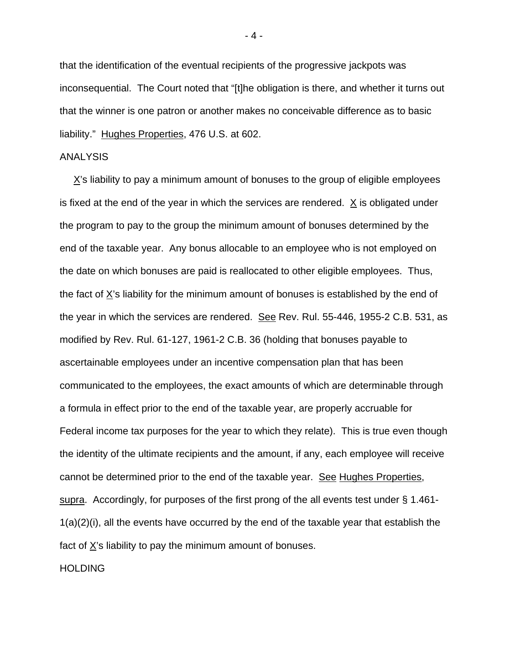that the identification of the eventual recipients of the progressive jackpots was inconsequential. The Court noted that "[t]he obligation is there, and whether it turns out that the winner is one patron or another makes no conceivable difference as to basic liability." Hughes Properties, 476 U.S. at 602.

### ANALYSIS

 $X$ 's liability to pay a minimum amount of bonuses to the group of eligible employees is fixed at the end of the year in which the services are rendered. X is obligated under the program to pay to the group the minimum amount of bonuses determined by the end of the taxable year. Any bonus allocable to an employee who is not employed on the date on which bonuses are paid is reallocated to other eligible employees. Thus, the fact of X's liability for the minimum amount of bonuses is established by the end of the year in which the services are rendered. See Rev. Rul. 55-446, 1955-2 C.B. 531, as modified by Rev. Rul. 61-127, 1961-2 C.B. 36 (holding that bonuses payable to ascertainable employees under an incentive compensation plan that has been communicated to the employees, the exact amounts of which are determinable through a formula in effect prior to the end of the taxable year, are properly accruable for Federal income tax purposes for the year to which they relate). This is true even though the identity of the ultimate recipients and the amount, if any, each employee will receive cannot be determined prior to the end of the taxable year. See Hughes Properties, supra. Accordingly, for purposes of the first prong of the all events test under § 1.461- 1(a)(2)(i), all the events have occurred by the end of the taxable year that establish the fact of X's liability to pay the minimum amount of bonuses.

**HOLDING** 

- 4 -